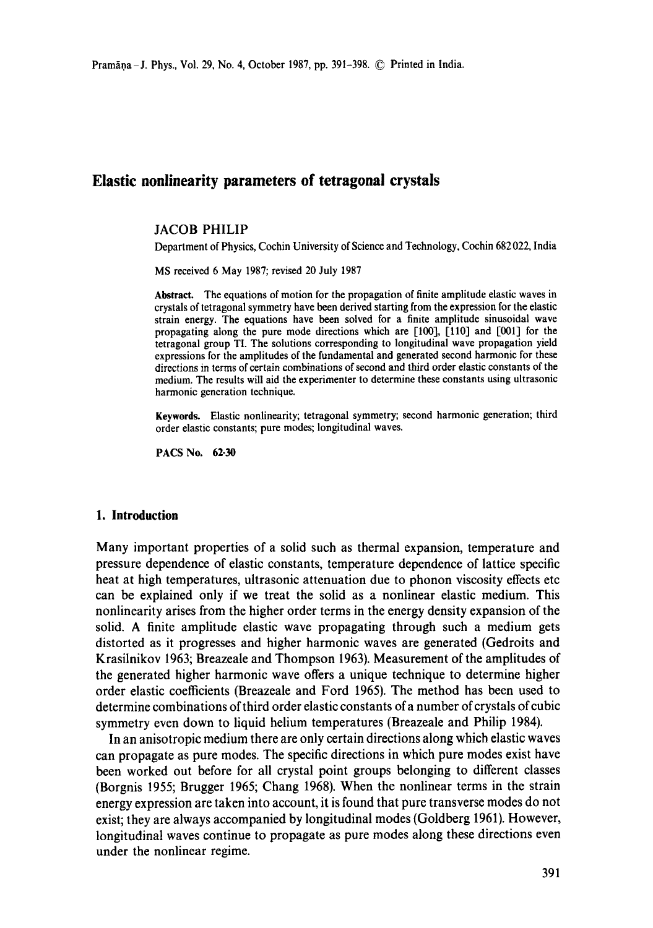# **Elastic nonlinearity parameters of tetragonal crystals**

#### JACOB PHILIP

Department of Physics, Cochin University of Science and Technology, Cochin 682022, India

MS received 6 May 1987; revised 20 July 1987

**Abstract.** The equations of motion for the propagation of finite amplitude elastic waves in crystals of tetragonal symmetry have been derived starting from the expression for the elastic strain energy. The equations have been solved for a finite amplitude sinusoidal wave propagating along the pure mode directions which are [100], [110] and [001] for the tetragonal group TI. The solutions corresponding to longitudinal wave propagation yield expressions for the amplitudes of the fundamental and generated second harmonic for these directions in terms of certain combinations of second and third order elastic constants of the medium. The results will aid the experimenter to determine these constants using ultrasonic harmonic generation technique.

**Keywords.** Elastic nonlinearity; tetragonal symmetry; second harmonic generation; third order elastic constants; pure modes; longitudinal waves.

PACS No. **62-30** 

#### **1. Introduction**

Many important properties of a solid such as thermal expansion, temperature and pressure dependence of elastic constants, temperature dependence of lattice specific heat at high temperatures, ultrasonic attenuation due to phonon viscosity effects etc can be explained only if we treat the solid as a nonlinear elastic medium. This nonlinearity arises from the higher order terms in the energy density expansion of the solid. A finite amplitude elastic wave propagating through such a medium gets distorted as it progresses and higher harmonic waves are generated (Gedroits and Krasilnikov 1963; Breazeale and Thompson 1963). Measurement of the amplitudes of the generated higher harmonic wave offers a unique technique to determine higher order elastic coefficients (Breazeale and Ford 1965). The method has been used to determine combinations of third order elastic constants of a number of crystals of cubic symmetry even down to liquid helium temperatures (Breazeale and Philip 1984).

In an anisotropic medium there are only certain directions along which elastic waves can propagate as pure modes. The specific directions in which pure modes exist have been worked out before for all crystal point groups belonging to different classes (Borgnis 1955; Brugger 1965; Chang 1968). When the nonlinear terms in the strain energy expression are taken into account, it is found that pure transverse modes do not exist; they are always accompanied by longitudinal modes (Goldberg 1961). However, longitudinal waves continue to propagate as pure modes along these directions even under the nonlinear regime.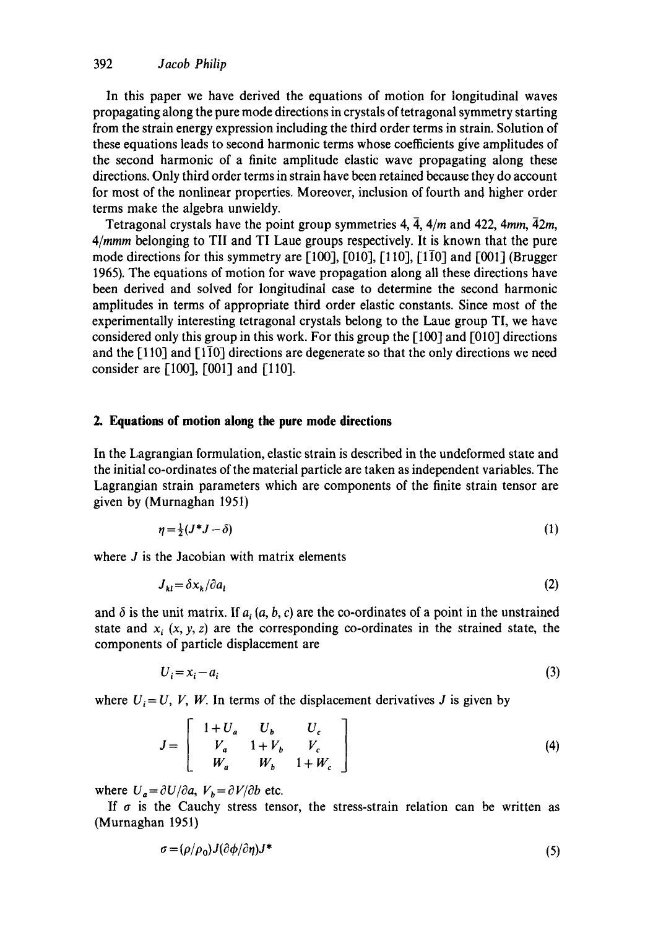In this paper we have derived the equations of motion for longitudinal waves propagating along the pure mode directions in crystals of tetragonal symmetry starting from the strain energy expression including the third order terms in strain. Solution of these equations leads to second harmonic terms whose coefficients give amplitudes of the second harmonic of a finite amplitude elastic wave propagating along these directions. Only third order terms in strain have been retained because they do account for most of the nonlinear properties. Moreover, inclusion of fourth and higher order terms make the algebra unwieldy.

Tetragonal crystals have the point group symmetries  $4$ ,  $\overline{4}$ ,  $4/m$  and  $422$ ,  $4mm$ ,  $\overline{4}2m$ , *4/mmm* belonging to TII and TI Laue groups respectively. It is known that the pure mode directions for this symmetry are  $[100]$ ,  $[010]$ ,  $[110]$ ,  $[1\overline{10}]$  and  $[001]$  (Brugger 1965). The equations of motion for wave propagation along all these directions have been derived and solved for longitudinal case to determine the second harmonic amplitudes in terms of appropriate third order elastic constants. Since most of the experimentally interesting tetragonal crystals belong to the Laue group TI, we have considered only this group in this work. For this group the  $[100]$  and  $[010]$  directions and the [110] and [170] directions are degenerate so that the only directions we need consider are [100], [001] and [110].

### **2. Equations of motion along the pure mode directions**

In the Lagrangian formulation, elastic strain is described in the undeformed state and the initial co-ordinates of the material particle are taken as independent variables. The Lagrangian strain parameters which are components of the finite strain tensor are given by (Murnaghan 1951)

$$
\eta = \frac{1}{2}(J^*J - \delta) \tag{1}
$$

where *J* is the Jacobian with matrix elements

$$
J_{kl} = \delta x_k / \partial a_l \tag{2}
$$

and  $\delta$  is the unit matrix. If  $a_i(a, b, c)$  are the co-ordinates of a point in the unstrained state and  $x_i$  (x, y, z) are the corresponding co-ordinates in the strained state, the components of particle displacement are

$$
U_i = x_i - a_i \tag{3}
$$

where  $U_i = U$ , V, W. In terms of the displacement derivatives J is given by

$$
J = \begin{bmatrix} 1 + U_a & U_b & U_c \\ V_a & 1 + V_b & V_c \\ W_a & W_b & 1 + W_c \end{bmatrix}
$$
 (4)

where  $U_a = \partial U / \partial a$ ,  $V_b = \partial V / \partial b$  etc.

If  $\sigma$  is the Cauchy stress tensor, the stress-strain relation can be written as (Murnaghan 1951)

$$
\sigma = (\rho/\rho_0)J(\partial \phi/\partial \eta)J^* \tag{5}
$$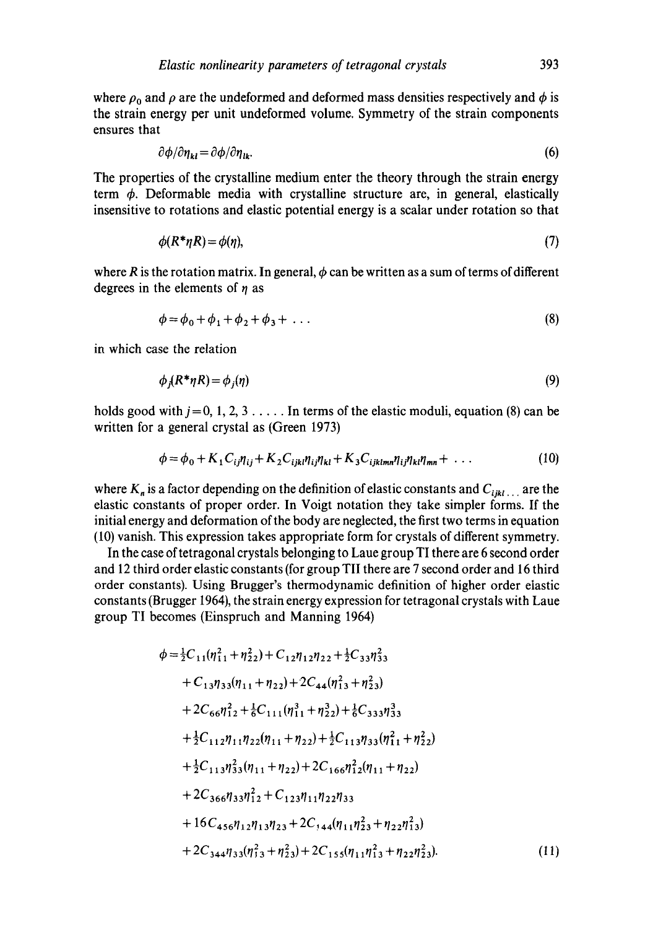where  $\rho_0$  and  $\rho$  are the undeformed and deformed mass densities respectively and  $\phi$  is the strain energy per unit undeformed volume. Symmetry of the strain components ensures that

$$
\partial \phi / \partial \eta_{kl} = \partial \phi / \partial \eta_{lk}. \tag{6}
$$

The properties of the crystalline medium enter the theory through the strain energy term  $\phi$ . Deformable media with crystalline structure are, in general, elastically insensitive to rotations and elastic potential energy is a scalar under rotation so that

$$
\phi(R^*\eta R) = \phi(\eta),\tag{7}
$$

where R is the rotation matrix. In general,  $\phi$  can be written as a sum of terms of different degrees in the elements of  $n$  as

$$
\phi = \phi_0 + \phi_1 + \phi_2 + \phi_3 + \dots \tag{8}
$$

in which case the relation

$$
\phi_i(R^* \eta R) = \phi_i(\eta) \tag{9}
$$

holds good with  $j = 0, 1, 2, 3, \ldots$ . In terms of the elastic moduli, equation (8) can be written for a general crystal as (Green 1973)

$$
\phi = \phi_0 + K_1 C_{ij} \eta_{ij} + K_2 C_{ijkl} \eta_{ij} \eta_{kl} + K_3 C_{ijklmn} \eta_{ij} \eta_{kl} \eta_{mn} + \dots \qquad (10)
$$

where  $K_n$  is a factor depending on the definition of elastic constants and  $C_{ijkl}$  are the elastic constants of proper order. In Voigt notation they take simpler forms. If the initial energy and deformation of the body are neglected, the first two terms in equation (10) vanish. This expression takes appropriate form for crystals of different symmetry.

In the case oftetragonal crystals belonging to Laue group TI there are 6 second order and 12 third order elastic constants (for group TII there are 7 second order and 16 third order constants). Using Brugger's thermodynamic definition of higher order elastic constants (Brugger 1964), the strain energy expression for tetragonal crystals with Laue group TI becomes (Einspruch and Manning 1964)

$$
\phi = \frac{1}{2}C_{11}(\eta_{11}^2 + \eta_{22}^2) + C_{12}\eta_{12}\eta_{22} + \frac{1}{2}C_{33}\eta_{33}^2
$$
  
+ C\_{13}\eta\_{33}(\eta\_{11} + \eta\_{22}) + 2C\_{44}(\eta\_{13}^2 + \eta\_{23}^2)  
+ 2C\_{66}\eta\_{12}^2 + \frac{1}{6}C\_{111}(\eta\_{11}^3 + \eta\_{22}^3) + \frac{1}{6}C\_{333}\eta\_{33}^3  
+ \frac{1}{2}C\_{112}\eta\_{11}\eta\_{22}(\eta\_{11} + \eta\_{22}) + \frac{1}{2}C\_{113}\eta\_{33}(\eta\_{11}^2 + \eta\_{22}^2)  
+ \frac{1}{2}C\_{113}\eta\_{33}^2(\eta\_{11} + \eta\_{22}) + 2C\_{166}\eta\_{12}^2(\eta\_{11} + \eta\_{22})  
+ 2C\_{366}\eta\_{33}\eta\_{12}^2 + C\_{123}\eta\_{11}\eta\_{22}\eta\_{33}  
+ 16C\_{456}\eta\_{12}\eta\_{13}\eta\_{23} + 2C\_{144}(\eta\_{11}\eta\_{23}^2 + \eta\_{22}\eta\_{13}^2)  
+ 2C\_{344}\eta\_{33}(\eta\_{13}^2 + \eta\_{23}^2) + 2C\_{155}(\eta\_{11}\eta\_{13}^2 + \eta\_{22}\eta\_{23}^2). (11)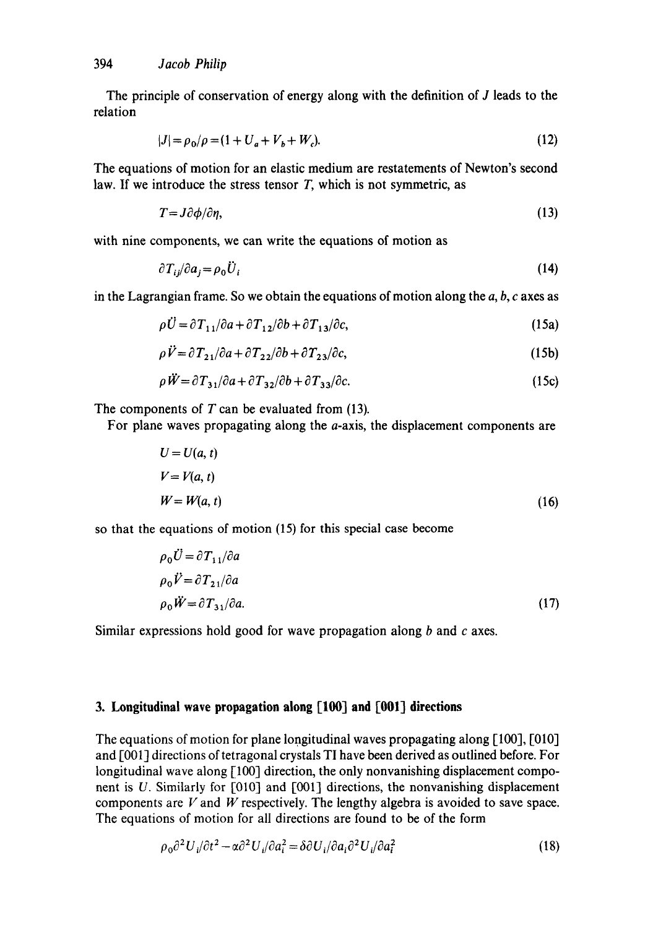The principle of conservation of energy along with the definition of J leads to the relation

$$
|J| = \rho_0 / \rho = (1 + U_a + V_b + W_c). \tag{12}
$$

The equations of motion for an elastic medium are restatements of Newton's second **law. If we** introduce the stress tensor T, which is not symmetric, as

$$
T = J\partial\phi/\partial\eta,\tag{13}
$$

with nine components, we can write the equations of motion as

$$
\partial T_{ij}/\partial a_j = \rho_0 \tilde{U}_i \tag{14}
$$

in the Lagrangian frame. So we obtain the equations of motion along the  $a, b, c$  axes as

$$
\rho \ddot{U} = \partial T_{11} / \partial a + \partial T_{12} / \partial b + \partial T_{13} / \partial c, \qquad (15a)
$$

$$
\rho \ddot{V} = \partial T_{21} / \partial a + \partial T_{22} / \partial b + \partial T_{23} / \partial c, \qquad (15b)
$$

$$
\rho \ddot{W} = \partial T_{31} / \partial a + \partial T_{32} / \partial b + \partial T_{33} / \partial c. \tag{15c}
$$

The components of  $T$  can be evaluated from (13).

For plane waves propagating along the a-axis, the displacement components are

$$
U = U(a, t)
$$
  
\n
$$
V = V(a, t)
$$
  
\n
$$
W = W(a, t)
$$
\n(16)

so that the equations of motion (15) for this special case become

$$
\rho_0 \vec{U} = \partial T_{11} / \partial a
$$
  
\n
$$
\rho_0 \vec{V} = \partial T_{21} / \partial a
$$
  
\n
$$
\rho_0 \vec{W} = \partial T_{31} / \partial a.
$$
\n(17)

Similar expressions hold good for wave propagation along b and c axes.

## 3. Longitudinal wave propagation along [100] and [001] directions

The equations of motion for plane longitudinal waves propagating along [100], [010] and [001] directions of tetragonal crystals TI have been derived as outlined before. For longitudinal wave along [100] direction, the only nonvanishing displacement component is U. Similarly for [010] and [001] directions, the nonvanishing displacement components are  $V$  and  $W$  respectively. The lengthy algebra is avoided to save space. The equations of motion for all directions are found to be of the form

$$
\rho_0 \partial^2 U_i / \partial t^2 - \alpha \partial^2 U_i / \partial a_i^2 = \delta \partial U_i / \partial a_i \partial^2 U_i / \partial a_i^2 \tag{18}
$$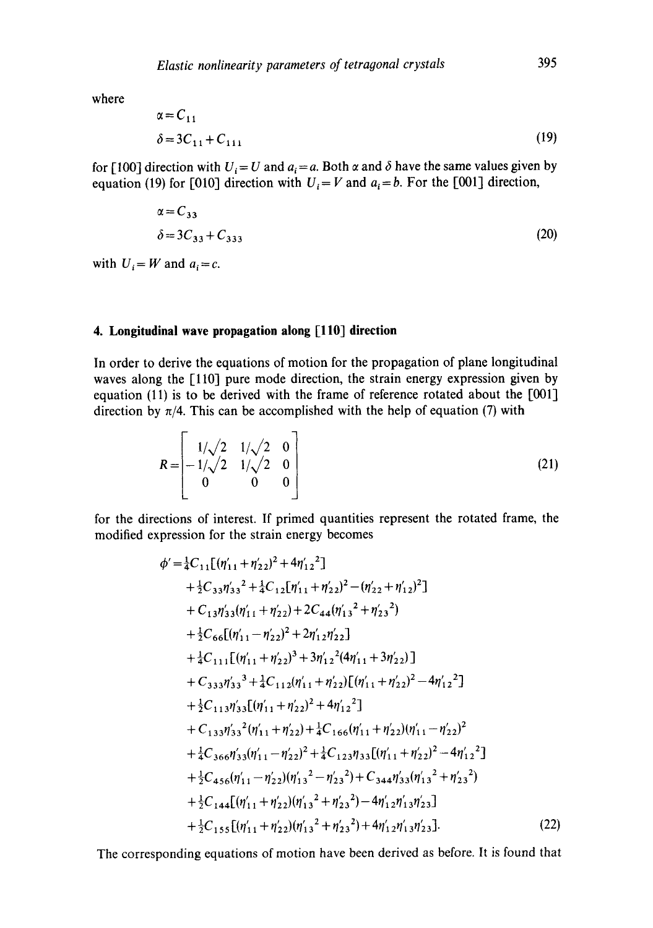**where** 

$$
\alpha = C_{11} \n\delta = 3C_{11} + C_{111}
$$
\n(19)

for [100] direction with  $U_i = U$  and  $a_i = a$ . Both  $\alpha$  and  $\delta$  have the same values given by equation (19) for [010] direction with  $U_i = V$  and  $a_i = b$ . For the [001] direction,

$$
\alpha = C_{33} \n\delta = 3C_{33} + C_{333}
$$
\n(20)

with  $U_i = W$  and  $a_i = c$ .

# 4. Longitudinal wave propagation along [110] direction

**In order to derive the equations of motion for the propagation of plane longitudinal waves along the [110] pure mode direction, the strain energy expression given by**  equation (11) is to be derived with the frame of reference rotated about the [001] direction by  $\pi/4$ . This can be accomplished with the help of equation (7) with

$$
R = \begin{bmatrix} 1/\sqrt{2} & 1/\sqrt{2} & 0 \\ -1/\sqrt{2} & 1/\sqrt{2} & 0 \\ 0 & 0 & 0 \end{bmatrix}
$$
 (21)

**for the directions of interest. If primed quantities represent the rotated frame, the modified expression for the strain energy becomes** 

$$
\phi' = \frac{1}{4}C_{11}[(\eta'_{11} + \eta'_{22})^2 + 4\eta'_{12}^2] \n+ \frac{1}{2}C_{33}\eta'_{33}^2 + \frac{1}{4}C_{12}[\eta'_{11} + \eta'_{22})^2 - (\eta'_{22} + \eta'_{12})^2] \n+ C_{13}\eta'_{33}(\eta'_{11} + \eta'_{22}) + 2C_{44}(\eta'_{13}^2 + \eta'_{23}^2) \n+ \frac{1}{2}C_{66}[(\eta'_{11} - \eta'_{22})^2 + 2\eta'_{12}\eta'_{22}] \n+ \frac{1}{4}C_{111}[(\eta'_{11} + \eta'_{22})^3 + 3\eta'_{12}^2(4\eta'_{11} + 3\eta'_{22})] \n+ C_{333}\eta'_{33}^3 + \frac{1}{4}C_{112}(\eta'_{11} + \eta'_{22})[(\eta'_{11} + \eta'_{22})^2 - 4\eta'_{12}^2] \n+ \frac{1}{2}C_{113}\eta'_{33}[(\eta'_{11} + \eta'_{22})^2 + 4\eta'_{12}^2] \n+ C_{133}\eta'_{33}^2(\eta'_{11} + \eta'_{22}) + \frac{1}{4}C_{166}(\eta'_{11} + \eta'_{22})(\eta'_{11} - \eta'_{22})^2 \n+ \frac{1}{4}C_{366}\eta'_{33}(\eta'_{11} - \eta'_{22})^2 + \frac{1}{4}C_{123}\eta_{33}[(\eta'_{11} + \eta'_{22})^2 - 4\eta'_{12}^2] \n+ \frac{1}{2}C_{456}(\eta'_{11} - \eta'_{22})(\eta'_{13}^2 - \eta'_{23}^2) + C_{344}\eta'_{33}(\eta'_{13}^2 + \eta'_{23}^2) \n+ \frac{1}{2}C_{144}[(\eta'_{11} + \eta'_{22})(\eta'_{13}^2 + \eta'_{23}^2) - 4\eta'_{12}\eta'_{13}\
$$

**The corresponding equations of motion have been derived as before. It is found that**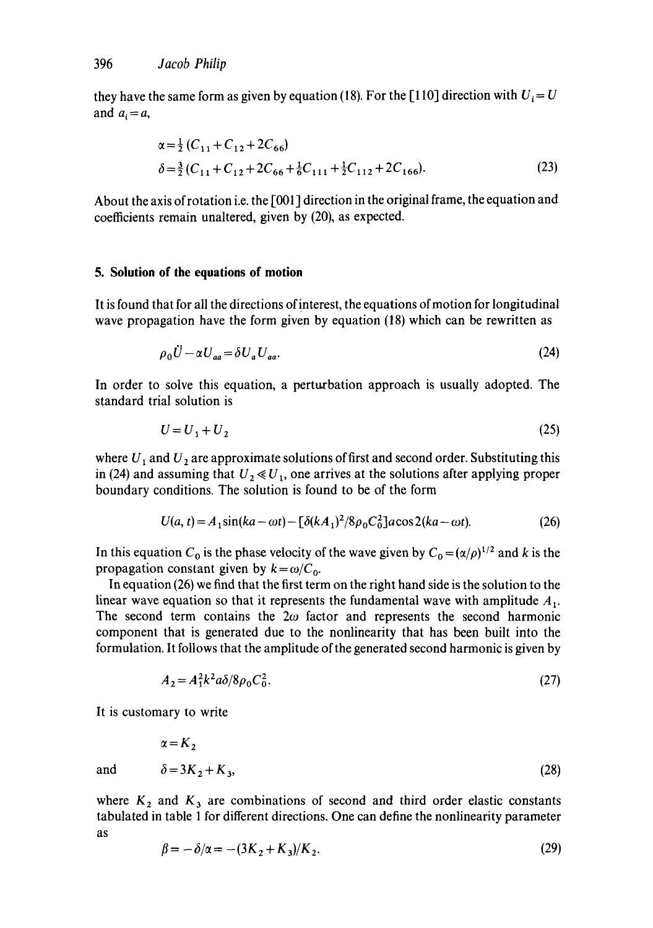they have the same form as given by equation (18). For the [110] direction with  $U_i=U$ and  $a_i = a$ ,

$$
\alpha = \frac{1}{2} (C_{11} + C_{12} + 2C_{66})
$$
  
\n
$$
\delta = \frac{3}{2} (C_{11} + C_{12} + 2C_{66} + \frac{1}{6}C_{111} + \frac{1}{2}C_{112} + 2C_{166}).
$$
\n(23)

About the axis of rotation i.e. the [001] direction in the original frame, the equation and coefficients remain unaltered, given by (20), as expected.

#### **5. Solution of the equations of motion**

It is found that for all the directions of interest, the equations of motion for longitudinal wave propagation have the form given by equation (18) which can be rewritten as

$$
\rho_0 \ddot{U} - \alpha U_{aa} = \delta U_a U_{aa}.
$$
\n(24)

In order to solve this equation, a perturbation approach is usually adopted. The standard trial solution is

$$
U = U_1 + U_2 \tag{25}
$$

where  $U_1$  and  $U_2$  are approximate solutions of first and second order. Substituting this in (24) and assuming that  $U_2 \ll U_1$ , one arrives at the solutions after applying proper boundary conditions. The solution is found to be of the form

$$
U(a, t) = A_1 \sin(ka - \omega t) - \left[\delta (k A_1)^2 / 8 \rho_0 C_0^2\right] a \cos 2(ka - \omega t). \tag{26}
$$

In this equation  $C_0$  is the phase velocity of the wave given by  $C_0 = (\alpha/\rho)^{1/2}$  and k is the propagation constant given by  $k = \omega / C_0$ .

In equation (26) we find that the first term on the right hand side is the solution to the linear wave equation so that it represents the fundamental wave with amplitude  $A_1$ . The second term contains the  $2\omega$  factor and represents the second harmonic component that is generated due to the nonlinearity that has been built into the formulation. It follows that the amplitude of the generated second harmonic is given by

$$
A_2 = A_1^2 k^2 a \delta / 8 \rho_0 C_0^2. \tag{27}
$$

It is customary to write

$$
\alpha = K_2
$$
  
and 
$$
\delta = 3K_2 + K_3,
$$
 (28)

where  $K_2$  and  $K_3$  are combinations of second and third order elastic constants tabulated in table 1 for different directions. One can define the nonlinearity parameter as

$$
\beta = -\delta/\alpha = -(3K_2 + K_3)/K_2. \tag{29}
$$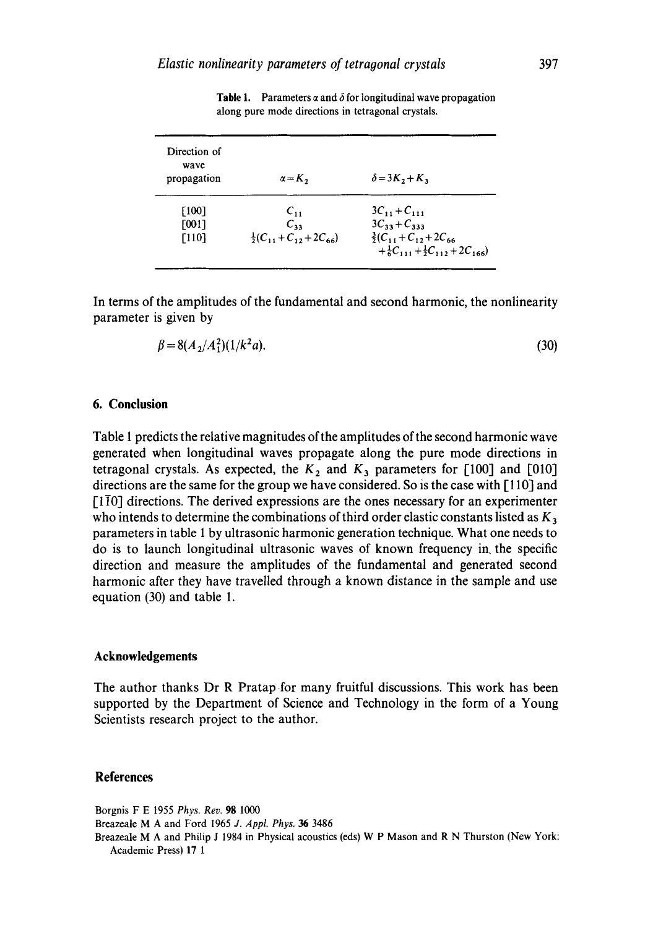| Direction of<br>wave<br>propagation | $\alpha = K_2$                       | $\delta = 3K_2 + K_3$                                                                     |
|-------------------------------------|--------------------------------------|-------------------------------------------------------------------------------------------|
| [100]                               | $C_{11}$                             | $3C_{11} + C_{111}$                                                                       |
| [001]                               | $C_{33}$                             | $3C_{33} + C_{333}$                                                                       |
| [110]                               | $\frac{1}{2}(C_{11}+C_{12}+2C_{66})$ | $\frac{3}{2}(C_{11}+C_{12}+2C_{66})$<br>$+\frac{1}{6}C_{111}+\frac{1}{2}C_{112}+2C_{166}$ |

**Table 1.** Parameters  $\alpha$  and  $\delta$  for longitudinal wave propagation along pure mode directions in tetragonal crystals.

In terms of the amplitudes of the fundamental and second harmonic, the nonlinearity parameter is given by

$$
\beta = 8(A_2/A_1^2)(1/k^2a). \tag{30}
$$

# **6. Conclusion**

Table I predicts the relative magnitudes of the amplitudes of the second harmonic wave generated when longitudinal waves propagate along the pure mode directions in tetragonal crystals. As expected, the  $K_2$  and  $K_3$  parameters for [100] and [010] directions are the same for the group we have considered. So is the case with [110] and  $[1\overline{1}0]$  directions. The derived expressions are the ones necessary for an experimenter who intends to determine the combinations of third order elastic constants listed as  $K_3$ parameters in table 1 by ultrasonic harmonic generation technique. What one needs to do is to launch longitudinal ultrasonic waves of known frequency in. the specific direction and measure the amplitudes of the fundamental and generated second harmonic after they have travelled through a known distance in the sample and use equation (30) and table 1.

### **Acknowledgements**

The author thanks Dr R Pratap for many fruitful discussions. This work has been supported by the Department of Science and Technology in the form of a Young Scientists research project to the author.

#### **References**

Borgnis F E 1955 *Phys. Rev.* 98 1000 Breazeale M A and Ford 1965 *J. Appt. Phys. 36* 3486 Breazeale M A and Philip J 1984 in Physical acoustics (eds) W P Mason and R N Thurston (New York: Academic Press) 17 1